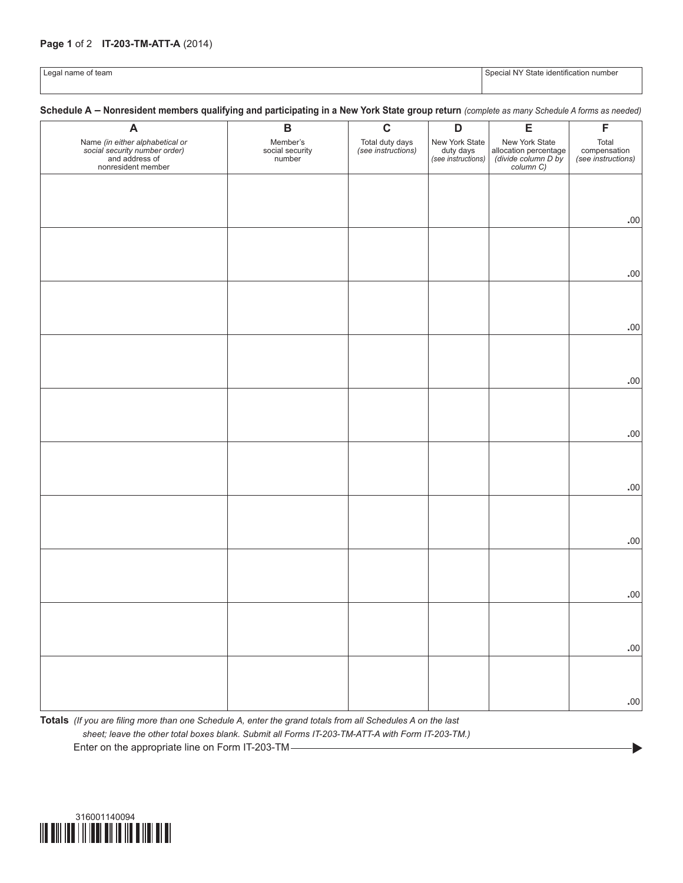## **Page 1** of 2 **IT-203-TM-ATT-A** (2014)

|  |  | Legal name of team |  |
|--|--|--------------------|--|
|--|--|--------------------|--|

Special NY State identification number

 $\blacktriangleright$ 

## **Schedule A – Nonresident members qualifying and participating in a New York State group return** *(complete as many Schedule A forms as needed)*

| A                                                                                                        | $\, {\bf B}$                          | $\mathbf c$                           | $\mathbf D$                                       | E                                                                           | F                                           |
|----------------------------------------------------------------------------------------------------------|---------------------------------------|---------------------------------------|---------------------------------------------------|-----------------------------------------------------------------------------|---------------------------------------------|
| Name (in either alphabetical or<br>social security number order)<br>and address of<br>nonresident member | Member's<br>social security<br>number | Total duty days<br>(see instructions) | New York State<br>duty days<br>(see instructions) | New York State<br>allocation percentage<br>(divide column D by<br>column C) | Total<br>compensation<br>(see instructions) |
|                                                                                                          |                                       |                                       |                                                   |                                                                             |                                             |
|                                                                                                          |                                       |                                       |                                                   |                                                                             |                                             |
|                                                                                                          |                                       |                                       |                                                   |                                                                             | $.00$                                       |
|                                                                                                          |                                       |                                       |                                                   |                                                                             |                                             |
|                                                                                                          |                                       |                                       |                                                   |                                                                             |                                             |
|                                                                                                          |                                       |                                       |                                                   |                                                                             | $.00$                                       |
|                                                                                                          |                                       |                                       |                                                   |                                                                             |                                             |
|                                                                                                          |                                       |                                       |                                                   |                                                                             |                                             |
|                                                                                                          |                                       |                                       |                                                   |                                                                             | $.00$                                       |
|                                                                                                          |                                       |                                       |                                                   |                                                                             |                                             |
|                                                                                                          |                                       |                                       |                                                   |                                                                             |                                             |
|                                                                                                          |                                       |                                       |                                                   |                                                                             | $.00$                                       |
|                                                                                                          |                                       |                                       |                                                   |                                                                             |                                             |
|                                                                                                          |                                       |                                       |                                                   |                                                                             |                                             |
|                                                                                                          |                                       |                                       |                                                   |                                                                             | .00                                         |
|                                                                                                          |                                       |                                       |                                                   |                                                                             |                                             |
|                                                                                                          |                                       |                                       |                                                   |                                                                             |                                             |
|                                                                                                          |                                       |                                       |                                                   |                                                                             | .00                                         |
|                                                                                                          |                                       |                                       |                                                   |                                                                             |                                             |
|                                                                                                          |                                       |                                       |                                                   |                                                                             |                                             |
|                                                                                                          |                                       |                                       |                                                   |                                                                             | .00                                         |
|                                                                                                          |                                       |                                       |                                                   |                                                                             |                                             |
|                                                                                                          |                                       |                                       |                                                   |                                                                             | .00                                         |
|                                                                                                          |                                       |                                       |                                                   |                                                                             |                                             |
|                                                                                                          |                                       |                                       |                                                   |                                                                             |                                             |
|                                                                                                          |                                       |                                       |                                                   |                                                                             | .00                                         |
|                                                                                                          |                                       |                                       |                                                   |                                                                             |                                             |
|                                                                                                          |                                       |                                       |                                                   |                                                                             |                                             |
|                                                                                                          |                                       |                                       |                                                   |                                                                             | .00                                         |

**Totals** *(If you are filing more than one Schedule A, enter the grand totals from all Schedules A on the last sheet; leave the other total boxes blank. Submit all Forms IT-203-TM-ATT-A with Form IT-203-TM.)* Enter on the appropriate line on Form IT-203-TM